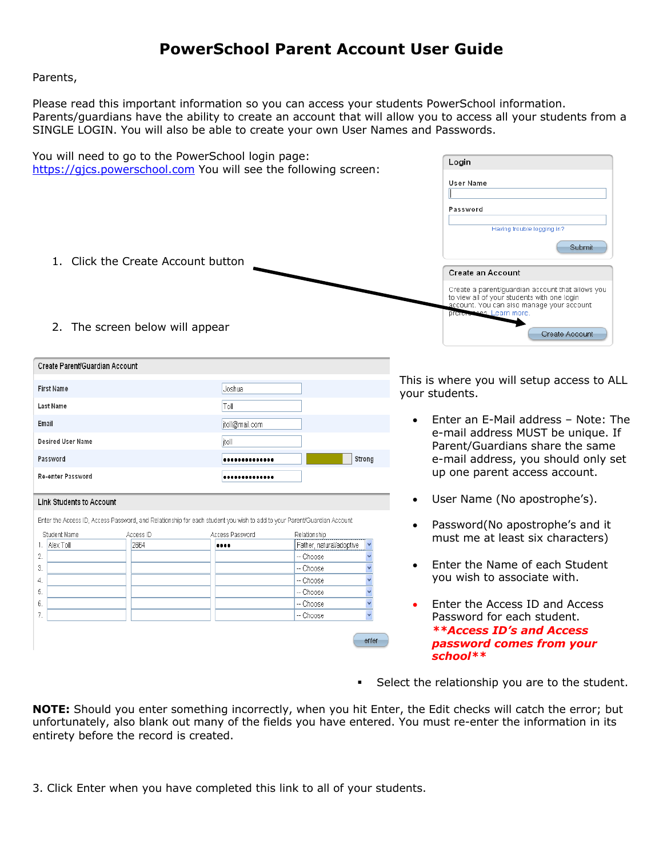# **PowerSchool Parent Account User Guide**

Parents,

Please read this important information so you can access your students PowerSchool information. Parents/guardians have the ability to create an account that will allow you to access all your students from a SINGLE LOGIN. You will also be able to create your own User Names and Passwords.

|                                |                                                                       | You will need to go to the PowerSchool login page:<br>https://gics.powerschool.com You will see the following screen:   | Login                                    |                                                                                                                                                                                                                                                                       |
|--------------------------------|-----------------------------------------------------------------------|-------------------------------------------------------------------------------------------------------------------------|------------------------------------------|-----------------------------------------------------------------------------------------------------------------------------------------------------------------------------------------------------------------------------------------------------------------------|
|                                | 1. Click the Create Account button<br>2. The screen below will appear |                                                                                                                         |                                          | <b>User Name</b><br>Password<br>Having trouble logging in?<br>Submit<br>Create an Account<br>Create a parent/guardian account that allows you<br>to view all of your students with one login<br>account. You can also manage your account<br>preferences. Learn more. |
|                                |                                                                       |                                                                                                                         |                                          | Create Account                                                                                                                                                                                                                                                        |
| Create Parent/Guardian Account |                                                                       |                                                                                                                         |                                          |                                                                                                                                                                                                                                                                       |
|                                |                                                                       |                                                                                                                         |                                          | This is where you will setup access to ALL                                                                                                                                                                                                                            |
| <b>First Name</b>              |                                                                       | Joshua                                                                                                                  |                                          | your students.                                                                                                                                                                                                                                                        |
| Last Name                      |                                                                       | Toll                                                                                                                    |                                          |                                                                                                                                                                                                                                                                       |
| Email                          |                                                                       | itoll@mail.com                                                                                                          |                                          | Enter an E-Mail address - Note: The                                                                                                                                                                                                                                   |
| <b>Desired User Name</b>       |                                                                       | itoll                                                                                                                   |                                          | e-mail address MUST be unique. If<br>Parent/Guardians share the same                                                                                                                                                                                                  |
| Password                       |                                                                       |                                                                                                                         | Strong                                   | e-mail address, you should only set                                                                                                                                                                                                                                   |
| Re-enter Password              |                                                                       |                                                                                                                         |                                          | up one parent access account.                                                                                                                                                                                                                                         |
| Link Students to Account       |                                                                       |                                                                                                                         |                                          | User Name (No apostrophe's).<br>$\bullet$                                                                                                                                                                                                                             |
|                                |                                                                       | Enter the Access ID, Access Password, and Relationship for each student you wish to add to your Parent/Guardian Account |                                          | Password(No apostrophe's and it<br>$\bullet$                                                                                                                                                                                                                          |
| Student Name<br>Alex Toll      | Access ID<br>2664                                                     | Access Password<br>                                                                                                     | Relationship<br>Father, natural/adoptive | must me at least six characters)                                                                                                                                                                                                                                      |
| $\overline{2}$ .<br>3.         |                                                                       |                                                                                                                         | -- Choose<br>-- Choose                   | Enter the Name of each Student<br>$\bullet$                                                                                                                                                                                                                           |
| 4.                             |                                                                       |                                                                                                                         | -- Choose                                | you wish to associate with.                                                                                                                                                                                                                                           |
| 5.<br>6.                       |                                                                       |                                                                                                                         | -- Choose<br>-- Choose                   | Enter the Access ID and Access                                                                                                                                                                                                                                        |
| $\overline{7}$ .               |                                                                       |                                                                                                                         | -- Choose                                | $\bullet$<br>Password for each student.                                                                                                                                                                                                                               |
|                                |                                                                       |                                                                                                                         |                                          | <b>**Access ID's and Access</b>                                                                                                                                                                                                                                       |
|                                |                                                                       |                                                                                                                         | enter                                    | password comes from your<br>school**                                                                                                                                                                                                                                  |

■ Select the relationship you are to the student.

**NOTE:** Should you enter something incorrectly, when you hit Enter, the Edit checks will catch the error; but unfortunately, also blank out many of the fields you have entered. You must re-enter the information in its entirety before the record is created.

3. Click Enter when you have completed this link to all of your students.